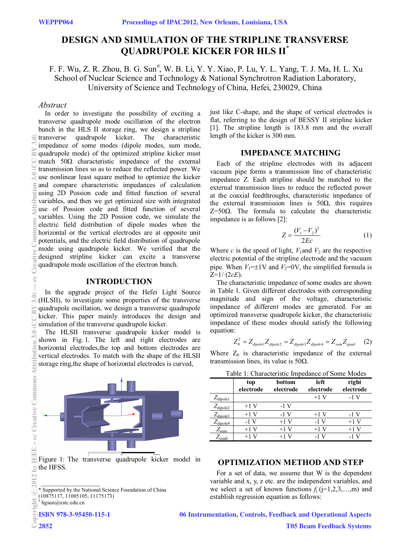# **DESIGN AND SIMULATION OF THE STRIPLINE TRANSVERSE QUADRUPOLE KICKER FOR HLS II\***

F. F. Wu, Z. R. Zhou, B. G. Sun<sup>#</sup>, W. B. Li, Y. Y. Xiao, P. Lu, Y. L. Yang, T. J. Ma, H. L. Xu School of Nuclear Science and Technology & National Synchrotron Radiation Laboratory, University of Science and Technology of China, Hefei, 230029, China

# *Abstract*

In order to investigate the possibility of exciting a transverse quadrupole mode oscillation of the electron bunch in the HLS II storage ring, we design a stripline transverse quadrupole kicker. The characteristic impedance of some modes (dipole modes, sum mode, quadrupole mode) of the optimized stripline kicker must match  $50\Omega$  characteristic impedance of the external transmission lines so as to reduce the reflected power. We use nonlinear least square method to optimize the kicker and compare characteristic impedances of calculation using 2D Possion code and fitted function of several variables, and then we get optimized size with integrated use of Possion code and fitted function of several variables. Using the 2D Possion code, we simulate the electric field distribution of dipole modes when the horizontal or the vertical electrodes are at opposite unit potentials, and the electric field distribution of quadrupole mode using quadrupole kicker. We verified that the designed stripline kicker can excite a transverse quadrupole mode oscillation of the electron bunch.

### **INTRODUCTION**

In the upgrade project of the Hefei Light Source (HLSII), to investigate some properties of the transverse quadrupole oscillation, we design a transverse quadrupole kicker. This paper mainly introduces the design and simulation of the transverse quadrupole kicker.

The HLSII transverse quadrupole kicker model is shown in Fig. 1. The left and right electrodes are horizontal electrodes,the top and bottom electrodes are vertical electrodes. To match with the shape of the HLSII storage ring,the shape of horizontal electrodes is curved,



Figure 1: The transverse quadrupole kicker model in the HFSS.

\_\_\_\_\_\_\_\_\_\_\_\_\_\_\_\_\_ \* Supported by the National Science Foundation of China (10875117, 11005105, 11175173)

# bgsun@ustc.edu.cn

ISBN 978-3-95450-115-1

just like C-shape, and the shape of vertical electrodes is flat, referring to the design of BESSY II stripline kicker [1]. The stripline length is 183.8 mm and the overall length of the kicker is 300 mm.

### **IMPEDANCE MATCHING**

Each of the stripline electrodes with its adjacent vacuum pipe forms a transmission line of characteristic impedance Z. Each stripline should be matched to the external transmission lines to reduce the reflected power at the coaxial feedthroughs, characteristic impedance of the external transmission lines is  $50\Omega$ , this requires Z=50Ω. The formula to calculate the characteristic impedance is as follows [2]:

$$
Z = \frac{(V_1 - V_2)^2}{2Ec} \tag{1}
$$

Where  $c$  is the speed of light,  $V_1$  and  $V_2$  are the respective electric potential of the stripline electrode and the vacuum pipe. When  $V_1 = \pm 1$ V and  $V_2 = 0$ V, the simplified formula is Z=1/ (2*cE*).

The characteristic impedance of some modes are shown in Table 1. Given different electrodes with corresponding magnitude and sign of the voltage, characteristic impedance of different modes are generated. For an optimized transverse quadrupole kicker, the characteristic impedance of these modes should satisfy the following equation:

$$
Z_0^2 = Z_{\text{dipole}1} Z_{\text{dipole}2} = Z_{\text{dipole}3} Z_{\text{dipole}4} = Z_{\text{sum}} Z_{\text{quad}} \tag{2}
$$

Where  $Z_0$  is characteristic impedance of the external transmission lines, its value is  $50\Omega$ .

|  | Table 1: Characteristic Impedance of Some Modes |
|--|-------------------------------------------------|
|--|-------------------------------------------------|

|                      | top<br>electrode | bottom<br>electrode | left<br>electrode | right<br>electrode |
|----------------------|------------------|---------------------|-------------------|--------------------|
| $Z_{\text{dipole1}}$ |                  |                     | $+1$ V            | -1 V               |
| $Z_{\text{dipole2}}$ | $+1$ V           | $-1$ V              |                   |                    |
| $Z_{\text{dipole3}}$ | $+1$ V           | -1 V                | $+1V$             | -1 V               |
| $Z_{\text{dipole4}}$ | -1 V             | $+1$ V              | -1 V              | $+1$ V             |
| $L_{\text{sum}}$     | $+1$ V           | $+1$ V              | $+1$ V            | $+1$ V             |
| ∽quad                | $+1$ V           |                     | -1 V              |                    |

# **OPTIMIZATION METHOD AND STEP**

For a set of data, we assume that W is the dependent variable and x, y, z etc. are the independent variables, and we select a set of known functions  $f_i$  ( $j=1,2,3,...,m$ ) and establish regression equation as follows:

06 Instrumentation, Controls, Feedback and Operational Aspects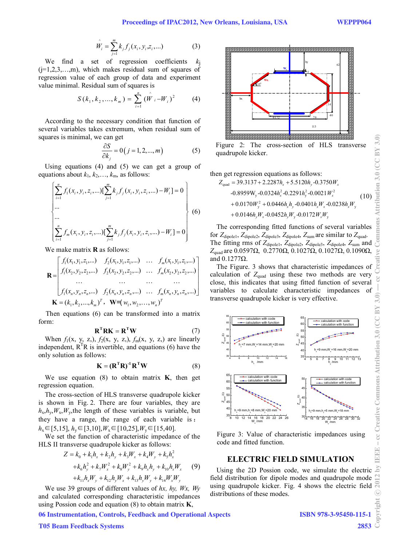$$
\hat{W}_i = \sum_{j=1}^{m} k_j f_j(x_i, y_i, z_i, \dots)
$$
 (3)

We find a set of regression coefficients  $(j=1,2,3,...,m)$ , which makes residual sum of squares of regression value of each group of data and experiment value minimal. Residual sum of squares is

$$
S(k_1, k_2, ..., k_m) = \sum_{i=1}^{n} (\hat{W}_i - W_i)^2
$$
 (4)

According to the necessary condition that function of several variables takes extremum, when residual sum of squares is minimal, we can get

$$
\frac{\partial S}{\partial k_j} = 0(j = 1, 2, \dots, m)
$$
 (5)

Using equations (4) and (5) we can get a group of equations about  $k_1, k_2, \ldots, k_m$ , as follows:

$$
\begin{cases}\n\sum_{i=1}^{n} f_1(x_i, y_i, z_i, \ldots) [\sum_{j=1}^{m} k_j f_j(x_i, y_i, z_i, \ldots) - W_i] = 0 \\
\ldots \\
\sum_{i=1}^{m} f_m(x_i, y_i, z_i, \ldots) [\sum_{j=1}^{m} k_j f_j(x_i, y_i, z_i, \ldots) - W_i] = 0\n\end{cases}
$$
\n(6)

We make matrix **R** as follows:

$$
\mathbf{R} = \begin{bmatrix} f_1(x_1, y_1, z_1, \dots) & f_2(x_1, y_1, z_1, \dots) & \dots & f_m(x_1, y_1, z_1, \dots) \\ f_1(x_2, y_2, z_2, \dots) & f_2(x_2, y_2, z_2, \dots) & \dots & f_m(x_2, y_2, z_2, \dots) \\ \dots & \dots & \dots & \dots \\ f_1(x_n, y_n, z_n, \dots) & f_2(x_n, y_n, z_n, \dots) & \dots & f_m(x_n, y_n, z_n, \dots) \end{bmatrix}
$$

$$
\mathbf{K} = (k_1, k_2, \dots, k_m)^T, \mathbf{W} = (w_1, w_2, \dots, w_n)^T
$$

Then equations (6) can be transformed into a matrix form:

$$
\mathbf{R}^{\mathrm{T}} \mathbf{R} \mathbf{K} = \mathbf{R}^{\mathrm{T}} \mathbf{W} \tag{7}
$$

When  $f_1(x, y, z)$ ,  $f_2(x, y, z)$ ,  $f_m(x, y, z)$  are linearly independent,  $R^{T}R$  is invertible, and equations (6) have the only solution as follows:

$$
\mathbf{K} = (\mathbf{R}^{\mathrm{T}} \mathbf{R})^{\mathrm{-1}} \mathbf{R}^{\mathrm{T}} \mathbf{W}
$$
 (8)

We use equation (8) to obtain matrix **K**, then get regression equation.

The cross-section of HLS transverse quadrupole kicker is shown in Fig. 2. There are four variables, they are  $h_x, h_y, W_x, W_y$ , the length of these variables is variable, but they have a range, the range of each variable is : *h*x∈[5,15], *h*y∈[3,10],*W*x∈[10,25],*W*y∈[15,40].

We set the function of characteristic impedance of the HLS II transverse quadrupole kicker as follows:

$$
Z = k_0 + k_1 h_x + k_2 h_y + k_3 W_x + k_4 W_y + k_5 h_x^2
$$
  
+  $k_6 h_y^2 + k_7 W_x^2 + k_8 W_y^2 + k_9 h_x h_y + k_{10} h_x W_x$  (9)  
+ $k_{11} h_x W_y + k_{12} h_y W_x + k_{13} h_y W_y + k_{14} W_x W_y$ 

We use 39 groups of different values of *hx, hy, Wx, Wy* and calculated corresponding characteristic impedances using Possion code and equation (8) to obtain matrix **K**,



Figure 2: The cross-section of HLS transverse quadrupole kicker.

then get regression equations as follows:

$$
Z_{quad} = 39.3137 + 2.2287h_x + 5.5120h_y - 0.3750W_x
$$
  
-0.8959W<sub>y</sub> -0.0324h<sub>x</sub><sup>2</sup> -0.2291h<sub>y</sub><sup>2</sup> -0.0021W<sub>x</sub><sup>2</sup>  
+0.0170W<sub>y</sub><sup>2</sup> + 0.0446h\_xh\_y - 0.0401h\_xW\_x - 0.0238h\_xW\_y  
+0.0146h\_yW\_x - 0.0452h\_yW\_y - 0.0172W\_xW\_y (10)

The corresponding fitted functions of several variables for  $Z_{\text{dipole1}}$ ,  $Z_{\text{dipole2}}$ ,  $Z_{\text{dipole3}}$ ,  $Z_{\text{dipole4}}$ ,  $Z_{\text{sum}}$  are similar to  $Z_{\text{quad}}$ . The fitting rms of *Z*dipole1, *Z*dipole2, *Z*dipole3, *Z*dipole4, *Z*sum and *Z*quad are 0.0597Ω, 0.2770Ω, 0.1027Ω, 0.1027Ω, 0.1090Ω, and 0.1277Ω.

The Figure. 3 shows that characteristic impedances of calculation of  $Z_{quad}$  using these two methods are very close, this indicates that using fitted function of several variables to calculate characteristic impedances of transverse quadrupole kicker is very effective.



Figure 3: Value of characteristic impedances using code and fitted function.

## **ELECTRIC FIELD SIMULATION**

Using the 2D Possion code, we simulate the electric field distribution for dipole modes and quadrupole mode using quadrupole kicker. Fig. 4 shows the electric field distributions of these modes.

06 Instrumentation, Controls, Feedback and Operational Aspects

## T05 Beam Feedback Systems

2853